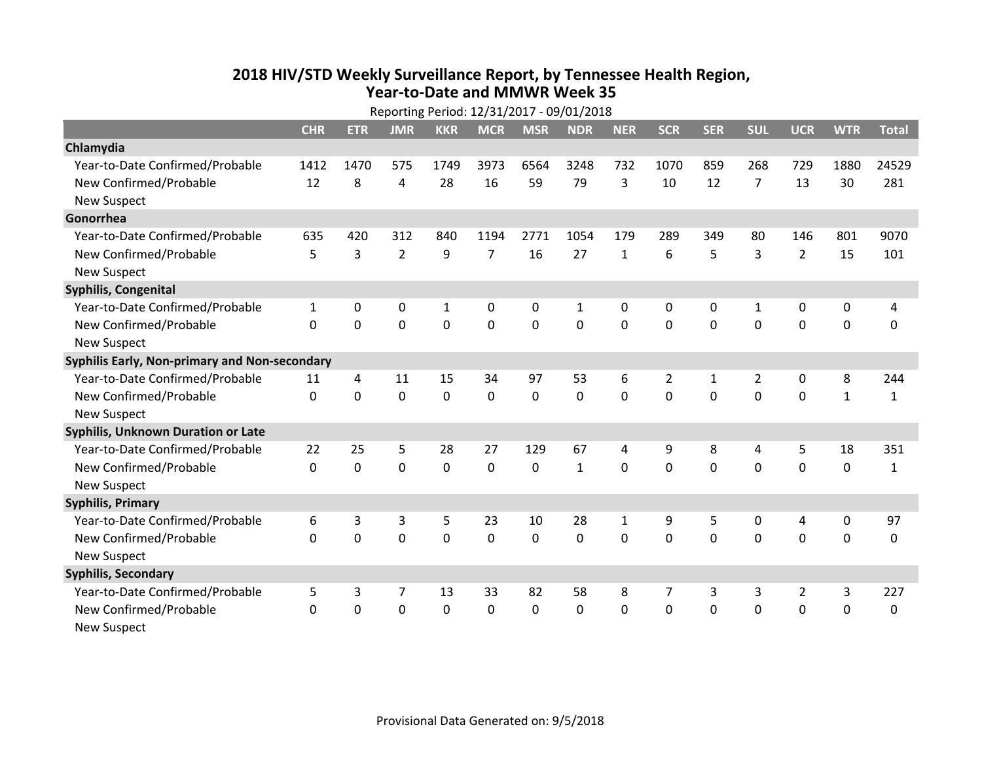## **2018 HIV /STD Weekl y Surveillance Report, b y Tennessee Health Region, Year‐to‐Date and MMWR Week 35**

|                                               | Reporting Period: 12/31/2017 - 09/01/2018 |              |                |             |                |             |                |              |                |              |                |                  |                  |              |
|-----------------------------------------------|-------------------------------------------|--------------|----------------|-------------|----------------|-------------|----------------|--------------|----------------|--------------|----------------|------------------|------------------|--------------|
|                                               | <b>CHR</b>                                | <b>ETR</b>   | <b>JMR</b>     | <b>KKR</b>  | <b>MCR</b>     | <b>MSR</b>  | <b>NDR</b>     | <b>NER</b>   | <b>SCR</b>     | <b>SER</b>   | <b>SUL</b>     | <b>UCR</b>       | <b>WTR</b>       | <b>Total</b> |
| Chlamydia                                     |                                           |              |                |             |                |             |                |              |                |              |                |                  |                  |              |
| Year-to-Date Confirmed/Probable               | 1412                                      | 1470         | 575            | 1749        | 3973           | 6564        | 3248           | 732          | 1070           | 859          | 268            | 729              | 1880             | 24529        |
| New Confirmed/Probable                        | 12                                        | 8            | $\overline{4}$ | 28          | 16             | 59          | 79             | 3            | 10             | 12           | $\overline{7}$ | 13               | 30               | 281          |
| <b>New Suspect</b>                            |                                           |              |                |             |                |             |                |              |                |              |                |                  |                  |              |
| Gonorrhea                                     |                                           |              |                |             |                |             |                |              |                |              |                |                  |                  |              |
| Year-to-Date Confirmed/Probable               | 635                                       | 420          | 312            | 840         | 1194           | 2771        | 1054           | 179          | 289            | 349          | 80             | 146              | 801              | 9070         |
| New Confirmed/Probable                        | 5                                         | 3            | $\overline{2}$ | 9           | $\overline{7}$ | 16          | 27             | $\mathbf{1}$ | 6              | 5            | $\overline{3}$ | $\overline{2}$   | 15               | 101          |
| <b>New Suspect</b>                            |                                           |              |                |             |                |             |                |              |                |              |                |                  |                  |              |
| Syphilis, Congenital                          |                                           |              |                |             |                |             |                |              |                |              |                |                  |                  |              |
| Year-to-Date Confirmed/Probable               | $\mathbf{1}$                              | 0            | 0              | 1           | 0              | 0           | $\mathbf{1}$   | 0            | 0              | 0            | 1              | 0                | 0                | 4            |
| New Confirmed/Probable                        | $\Omega$                                  | $\mathbf{0}$ | $\mathbf 0$    | $\mathbf 0$ | $\mathbf 0$    | $\mathbf 0$ | $\overline{0}$ | 0            | $\mathbf 0$    | $\mathbf{0}$ | $\mathbf{0}$   | $\mathbf 0$      | $\mathbf 0$      | $\mathbf 0$  |
| <b>New Suspect</b>                            |                                           |              |                |             |                |             |                |              |                |              |                |                  |                  |              |
| Syphilis Early, Non-primary and Non-secondary |                                           |              |                |             |                |             |                |              |                |              |                |                  |                  |              |
| Year-to-Date Confirmed/Probable               | 11                                        | 4            | 11             | 15          | 34             | 97          | 53             | 6            | $\overline{2}$ | $\mathbf{1}$ | $\overline{2}$ | 0                | 8                | 244          |
| New Confirmed/Probable                        | $\Omega$                                  | $\mathbf 0$  | $\mathbf 0$    | $\mathbf 0$ | $\mathbf 0$    | $\mathbf 0$ | $\overline{0}$ | 0            | $\Omega$       | $\Omega$     | $\mathbf 0$    | $\mathbf 0$      | $\mathbf{1}$     | 1            |
| <b>New Suspect</b>                            |                                           |              |                |             |                |             |                |              |                |              |                |                  |                  |              |
| <b>Syphilis, Unknown Duration or Late</b>     |                                           |              |                |             |                |             |                |              |                |              |                |                  |                  |              |
| Year-to-Date Confirmed/Probable               | 22                                        | 25           | 5              | 28          | 27             | 129         | 67             | 4            | 9              | 8            | $\overline{4}$ | 5                | 18               | 351          |
| New Confirmed/Probable                        | $\Omega$                                  | $\mathbf 0$  | $\mathbf 0$    | $\mathbf 0$ | $\mathbf 0$    | $\mathbf 0$ | $\mathbf{1}$   | $\Omega$     | $\Omega$       | $\Omega$     | $\Omega$       | $\mathbf 0$      | $\mathbf 0$      | $\mathbf{1}$ |
| <b>New Suspect</b>                            |                                           |              |                |             |                |             |                |              |                |              |                |                  |                  |              |
| <b>Syphilis, Primary</b>                      |                                           |              |                |             |                |             |                |              |                |              |                |                  |                  |              |
| Year-to-Date Confirmed/Probable               | 6                                         | 3            | 3              | 5           | 23             | 10          | 28             | $\mathbf{1}$ | 9              | 5            | $\mathbf 0$    | 4                | $\boldsymbol{0}$ | 97           |
| New Confirmed/Probable                        | $\Omega$                                  | $\mathbf 0$  | $\mathbf 0$    | $\mathbf 0$ | $\mathbf 0$    | $\mathbf 0$ | $\mathbf 0$    | 0            | $\mathbf 0$    | $\mathbf{0}$ | $\mathbf{0}$   | $\mathbf 0$      | $\mathbf 0$      | 0            |
| <b>New Suspect</b>                            |                                           |              |                |             |                |             |                |              |                |              |                |                  |                  |              |
| <b>Syphilis, Secondary</b>                    |                                           |              |                |             |                |             |                |              |                |              |                |                  |                  |              |
| Year-to-Date Confirmed/Probable               | 5                                         | 3            | 7              | 13          | 33             | 82          | 58             | 8            | 7              | 3            | 3              | $\overline{2}$   | 3                | 227          |
| New Confirmed/Probable                        | $\Omega$                                  | 0            | $\mathbf 0$    | $\mathbf 0$ | $\mathbf 0$    | 0           | $\mathbf 0$    | 0            | $\mathbf 0$    | $\mathbf 0$  | $\mathbf 0$    | $\boldsymbol{0}$ | $\mathbf 0$      | 0            |
| <b>New Suspect</b>                            |                                           |              |                |             |                |             |                |              |                |              |                |                  |                  |              |